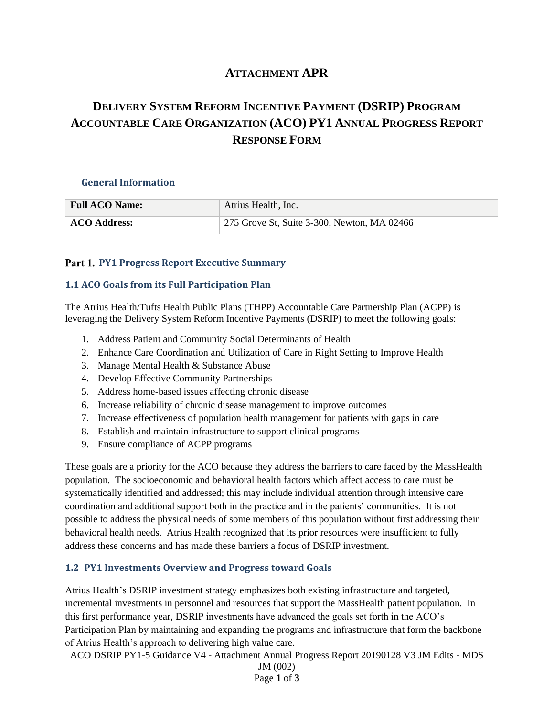# **ATTACHMENT APR**

# **DELIVERY SYSTEM REFORM INCENTIVE PAYMENT (DSRIP) PROGRAM ACCOUNTABLE CARE ORGANIZATION (ACO) PY1 ANNUAL PROGRESS REPORT RESPONSE FORM**

#### **General Information**

| <b>Full ACO Name:</b> | Atrius Health, Inc.                         |
|-----------------------|---------------------------------------------|
| <b>ACO Address:</b>   | 275 Grove St, Suite 3-300, Newton, MA 02466 |

#### **Part 1. PY1 Progress Report Executive Summary**

#### **1.1 ACO Goals from its Full Participation Plan**

The Atrius Health/Tufts Health Public Plans (THPP) Accountable Care Partnership Plan (ACPP) is leveraging the Delivery System Reform Incentive Payments (DSRIP) to meet the following goals:

- 1. Address Patient and Community Social Determinants of Health
- 2. Enhance Care Coordination and Utilization of Care in Right Setting to Improve Health
- 3. Manage Mental Health & Substance Abuse
- 4. Develop Effective Community Partnerships
- 5. Address home-based issues affecting chronic disease
- 6. Increase reliability of chronic disease management to improve outcomes
- 7. Increase effectiveness of population health management for patients with gaps in care
- 8. Establish and maintain infrastructure to support clinical programs
- 9. Ensure compliance of ACPP programs

These goals are a priority for the ACO because they address the barriers to care faced by the MassHealth population. The socioeconomic and behavioral health factors which affect access to care must be systematically identified and addressed; this may include individual attention through intensive care coordination and additional support both in the practice and in the patients' communities. It is not possible to address the physical needs of some members of this population without first addressing their behavioral health needs. Atrius Health recognized that its prior resources were insufficient to fully address these concerns and has made these barriers a focus of DSRIP investment.

### **1.2 PY1 Investments Overview and Progress toward Goals**

Atrius Health's DSRIP investment strategy emphasizes both existing infrastructure and targeted, incremental investments in personnel and resources that support the MassHealth patient population. In this first performance year, DSRIP investments have advanced the goals set forth in the ACO's Participation Plan by maintaining and expanding the programs and infrastructure that form the backbone of Atrius Health's approach to delivering high value care.

ACO DSRIP PY1-5 Guidance V4 - Attachment Annual Progress Report 20190128 V3 JM Edits - MDS

JM (002) Page **1** of **3**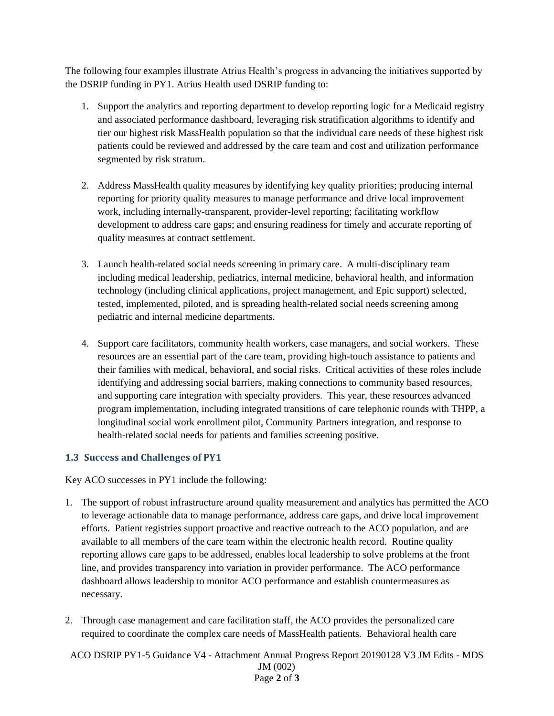The following four examples illustrate Atrius Health's progress in advancing the initiatives supported by the DSRIP funding in PY1. Atrius Health used DSRIP funding to:

- 1. Support the analytics and reporting department to develop reporting logic for a Medicaid registry and associated performance dashboard, leveraging risk stratification algorithms to identify and tier our highest risk MassHealth population so that the individual care needs of these highest risk patients could be reviewed and addressed by the care team and cost and utilization performance segmented by risk stratum.
- 2. Address MassHealth quality measures by identifying key quality priorities; producing internal reporting for priority quality measures to manage performance and drive local improvement work, including internally-transparent, provider-level reporting; facilitating workflow development to address care gaps; and ensuring readiness for timely and accurate reporting of quality measures at contract settlement.
- 3. Launch health-related social needs screening in primary care. A multi-disciplinary team including medical leadership, pediatrics, internal medicine, behavioral health, and information technology (including clinical applications, project management, and Epic support) selected, tested, implemented, piloted, and is spreading health-related social needs screening among pediatric and internal medicine departments.
- 4. Support care facilitators, community health workers, case managers, and social workers. These resources are an essential part of the care team, providing high-touch assistance to patients and their families with medical, behavioral, and social risks. Critical activities of these roles include identifying and addressing social barriers, making connections to community based resources, and supporting care integration with specialty providers. This year, these resources advanced program implementation, including integrated transitions of care telephonic rounds with THPP, a longitudinal social work enrollment pilot, Community Partners integration, and response to health-related social needs for patients and families screening positive.

## **1.3 Success and Challenges of PY1**

Key ACO successes in PY1 include the following:

- 1. The support of robust infrastructure around quality measurement and analytics has permitted the ACO to leverage actionable data to manage performance, address care gaps, and drive local improvement efforts. Patient registries support proactive and reactive outreach to the ACO population, and are available to all members of the care team within the electronic health record. Routine quality reporting allows care gaps to be addressed, enables local leadership to solve problems at the front line, and provides transparency into variation in provider performance. The ACO performance dashboard allows leadership to monitor ACO performance and establish countermeasures as necessary.
- 2. Through case management and care facilitation staff, the ACO provides the personalized care required to coordinate the complex care needs of MassHealth patients. Behavioral health care
- ACO DSRIP PY1-5 Guidance V4 Attachment Annual Progress Report 20190128 V3 JM Edits MDS JM (002) Page **2** of **3**